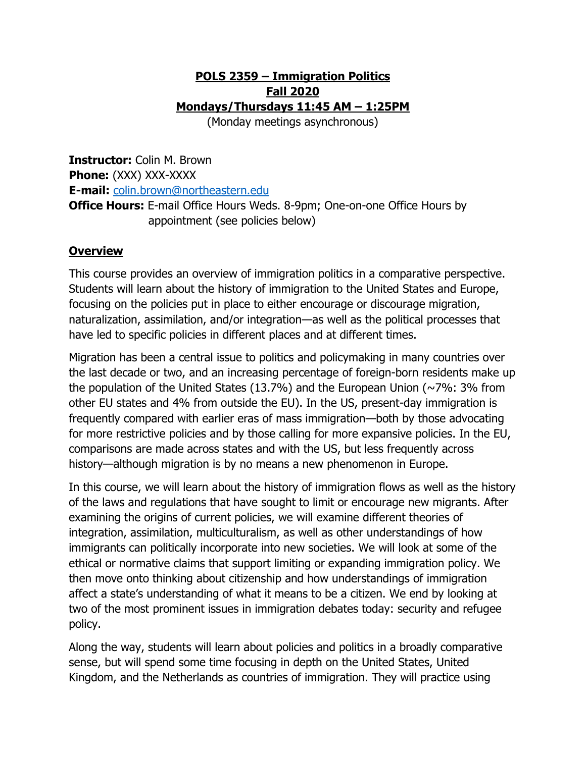#### **POLS 2359 – Immigration Politics Fall 2020 Mondays/Thursdays 11:45 AM – 1:25PM**

(Monday meetings asynchronous)

**Instructor:** Colin M. Brown **Phone:** (XXX) XXX-XXXX **E-mail:** [colin.brown@northeastern.edu](mailto:colin.brown@northeastern.edu) **Office Hours:** E-mail Office Hours Weds. 8-9pm; One-on-one Office Hours by

appointment (see policies below)

#### **Overview**

This course provides an overview of immigration politics in a comparative perspective. Students will learn about the history of immigration to the United States and Europe, focusing on the policies put in place to either encourage or discourage migration, naturalization, assimilation, and/or integration—as well as the political processes that have led to specific policies in different places and at different times.

Migration has been a central issue to politics and policymaking in many countries over the last decade or two, and an increasing percentage of foreign-born residents make up the population of the United States (13.7%) and the European Union ( $\sim$ 7%: 3% from other EU states and 4% from outside the EU). In the US, present-day immigration is frequently compared with earlier eras of mass immigration—both by those advocating for more restrictive policies and by those calling for more expansive policies. In the EU, comparisons are made across states and with the US, but less frequently across history—although migration is by no means a new phenomenon in Europe.

In this course, we will learn about the history of immigration flows as well as the history of the laws and regulations that have sought to limit or encourage new migrants. After examining the origins of current policies, we will examine different theories of integration, assimilation, multiculturalism, as well as other understandings of how immigrants can politically incorporate into new societies. We will look at some of the ethical or normative claims that support limiting or expanding immigration policy. We then move onto thinking about citizenship and how understandings of immigration affect a state's understanding of what it means to be a citizen. We end by looking at two of the most prominent issues in immigration debates today: security and refugee policy.

Along the way, students will learn about policies and politics in a broadly comparative sense, but will spend some time focusing in depth on the United States, United Kingdom, and the Netherlands as countries of immigration. They will practice using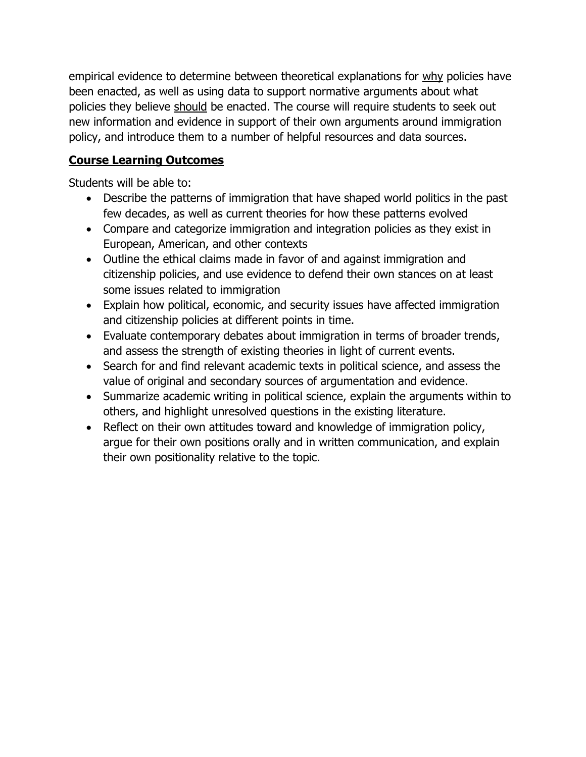empirical evidence to determine between theoretical explanations for why policies have been enacted, as well as using data to support normative arguments about what policies they believe should be enacted. The course will require students to seek out new information and evidence in support of their own arguments around immigration policy, and introduce them to a number of helpful resources and data sources.

# **Course Learning Outcomes**

Students will be able to:

- Describe the patterns of immigration that have shaped world politics in the past few decades, as well as current theories for how these patterns evolved
- Compare and categorize immigration and integration policies as they exist in European, American, and other contexts
- Outline the ethical claims made in favor of and against immigration and citizenship policies, and use evidence to defend their own stances on at least some issues related to immigration
- Explain how political, economic, and security issues have affected immigration and citizenship policies at different points in time.
- Evaluate contemporary debates about immigration in terms of broader trends, and assess the strength of existing theories in light of current events.
- Search for and find relevant academic texts in political science, and assess the value of original and secondary sources of argumentation and evidence.
- Summarize academic writing in political science, explain the arguments within to others, and highlight unresolved questions in the existing literature.
- Reflect on their own attitudes toward and knowledge of immigration policy, argue for their own positions orally and in written communication, and explain their own positionality relative to the topic.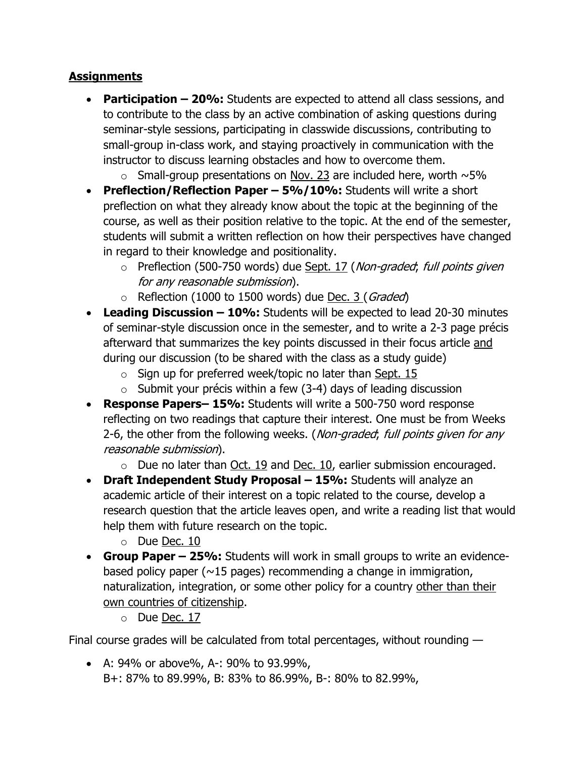## **Assignments**

- **Participation – 20%:** Students are expected to attend all class sessions, and to contribute to the class by an active combination of asking questions during seminar-style sessions, participating in classwide discussions, contributing to small-group in-class work, and staying proactively in communication with the instructor to discuss learning obstacles and how to overcome them.
	- $\circ$  Small-group presentations on Nov. 23 are included here, worth  $\sim$  5%
- **Preflection/Reflection Paper – 5%/10%:** Students will write a short preflection on what they already know about the topic at the beginning of the course, as well as their position relative to the topic. At the end of the semester, students will submit a written reflection on how their perspectives have changed in regard to their knowledge and positionality.
	- o Preflection (500-750 words) due Sept. 17 (Non-graded; full points given for any reasonable submission).
	- $\circ$  Reflection (1000 to 1500 words) due Dec. 3 (*Graded*)
- **Leading Discussion – 10%:** Students will be expected to lead 20-30 minutes of seminar-style discussion once in the semester, and to write a 2-3 page précis afterward that summarizes the key points discussed in their focus article and during our discussion (to be shared with the class as a study guide)
	- $\circ$  Sign up for preferred week/topic no later than Sept. 15
	- $\circ$  Submit your précis within a few (3-4) days of leading discussion
- **Response Papers– 15%:** Students will write a 500-750 word response reflecting on two readings that capture their interest. One must be from Weeks 2-6, the other from the following weeks. (*Non-graded*; full points given for any reasonable submission).
	- $\circ$  Due no later than Oct. 19 and Dec. 10, earlier submission encouraged.
- **Draft Independent Study Proposal – 15%:** Students will analyze an academic article of their interest on a topic related to the course, develop a research question that the article leaves open, and write a reading list that would help them with future research on the topic.
	- o Due Dec. 10
- **Group Paper – 25%:** Students will work in small groups to write an evidencebased policy paper ( $\sim$ 15 pages) recommending a change in immigration, naturalization, integration, or some other policy for a country other than their own countries of citizenship.
	- o Due Dec. 17

Final course grades will be calculated from total percentages, without rounding —

• A: 94% or above%, A-: 90% to 93.99%, B+: 87% to 89.99%, B: 83% to 86.99%, B-: 80% to 82.99%,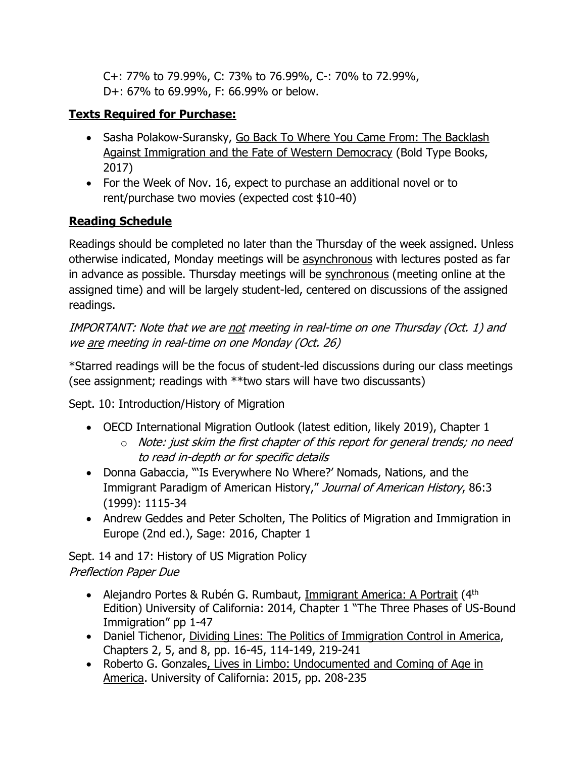C+: 77% to 79.99%, C: 73% to 76.99%, C-: 70% to 72.99%, D+: 67% to 69.99%, F: 66.99% or below.

# **Texts Required for Purchase:**

- Sasha Polakow-Suransky, Go Back To Where You Came From: The Backlash Against Immigration and the Fate of Western Democracy (Bold Type Books, 2017)
- For the Week of Nov. 16, expect to purchase an additional novel or to rent/purchase two movies (expected cost \$10-40)

# **Reading Schedule**

Readings should be completed no later than the Thursday of the week assigned. Unless otherwise indicated, Monday meetings will be asynchronous with lectures posted as far in advance as possible. Thursday meetings will be synchronous (meeting online at the assigned time) and will be largely student-led, centered on discussions of the assigned readings.

IMPORTANT: Note that we are not meeting in real-time on one Thursday (Oct. 1) and we are meeting in real-time on one Monday (Oct. 26)

\*Starred readings will be the focus of student-led discussions during our class meetings (see assignment; readings with \*\*two stars will have two discussants)

Sept. 10: Introduction/History of Migration

- OECD International Migration Outlook (latest edition, likely 2019), Chapter 1
	- $\circ$  Note: just skim the first chapter of this report for general trends; no need to read in-depth or for specific details
- Donna Gabaccia, "'Is Everywhere No Where?' Nomads, Nations, and the Immigrant Paradigm of American History," Journal of American History, 86:3 (1999): 1115-34
- Andrew Geddes and Peter Scholten, The Politics of Migration and Immigration in Europe (2nd ed.), Sage: 2016, Chapter 1

Sept. 14 and 17: History of US Migration Policy Preflection Paper Due

- Alejandro Portes & Rubén G. Rumbaut, Immigrant America: A Portrait (4<sup>th</sup>) Edition) University of California: 2014, Chapter 1 "The Three Phases of US-Bound Immigration" pp 1-47
- Daniel Tichenor, Dividing Lines: The Politics of Immigration Control in America, Chapters 2, 5, and 8, pp. 16-45, 114-149, 219-241
- Roberto G. Gonzales, Lives in Limbo: Undocumented and Coming of Age in America. University of California: 2015, pp. 208-235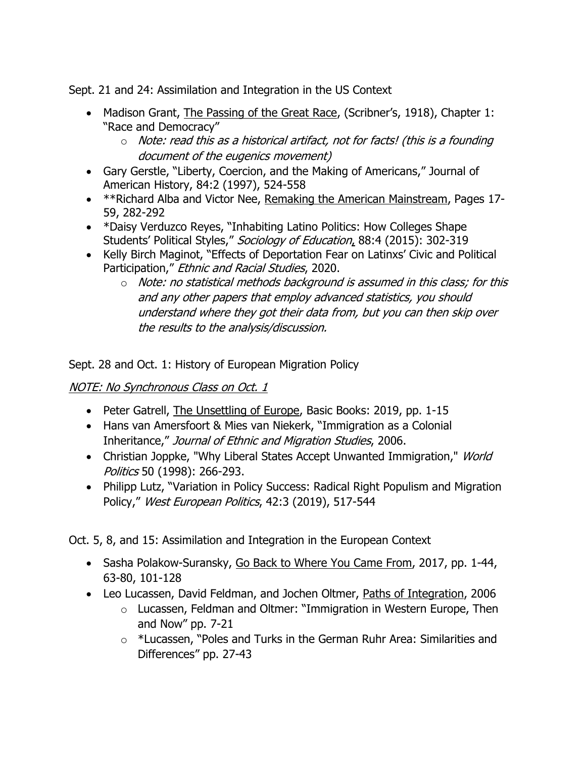Sept. 21 and 24: Assimilation and Integration in the US Context

- Madison Grant, The Passing of the Great Race, (Scribner's, 1918), Chapter 1: "Race and Democracy"
	- $\circ$  Note: read this as a historical artifact, not for facts! (this is a founding document of the eugenics movement)
- Gary Gerstle, "Liberty, Coercion, and the Making of Americans," Journal of American History, 84:2 (1997), 524-558
- \*\*Richard Alba and Victor Nee, Remaking the American Mainstream, Pages 17-59, 282-292
- \*Daisy Verduzco Reyes, "Inhabiting Latino Politics: How Colleges Shape Students' Political Styles," Sociology of Education, 88:4 (2015): 302-319
- Kelly Birch Maginot, "Effects of Deportation Fear on Latinxs' Civic and Political Participation," Ethnic and Racial Studies, 2020.
	- $\circ$  Note: no statistical methods background is assumed in this class; for this and any other papers that employ advanced statistics, you should understand where they got their data from, but you can then skip over the results to the analysis/discussion.

Sept. 28 and Oct. 1: History of European Migration Policy

#### NOTE: No Synchronous Class on Oct. 1

- Peter Gatrell, The Unsettling of Europe, Basic Books: 2019, pp. 1-15
- Hans van Amersfoort & Mies van Niekerk, "Immigration as a Colonial Inheritance," Journal of Ethnic and Migration Studies, 2006.
- Christian Joppke, "Why Liberal States Accept Unwanted Immigration," World Politics 50 (1998): 266-293.
- Philipp Lutz, "Variation in Policy Success: Radical Right Populism and Migration Policy," West European Politics, 42:3 (2019), 517-544

Oct. 5, 8, and 15: Assimilation and Integration in the European Context

- Sasha Polakow-Suransky, Go Back to Where You Came From, 2017, pp. 1-44, 63-80, 101-128
- Leo Lucassen, David Feldman, and Jochen Oltmer, Paths of Integration, 2006
	- o Lucassen, Feldman and Oltmer: "Immigration in Western Europe, Then and Now" pp. 7-21
	- o \*Lucassen, "Poles and Turks in the German Ruhr Area: Similarities and Differences" pp. 27-43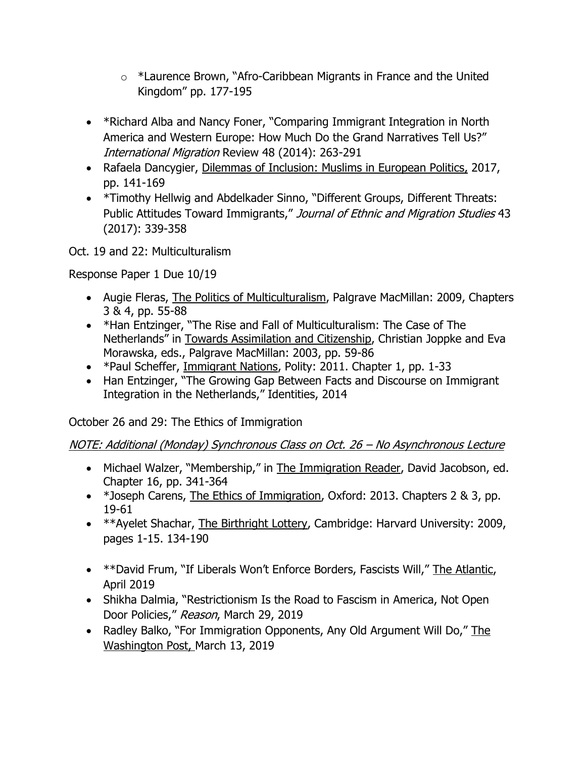- $\circ$  \*Laurence Brown, "Afro-Caribbean Migrants in France and the United Kingdom" pp. 177-195
- \*Richard Alba and Nancy Foner, "Comparing Immigrant Integration in North America and Western Europe: How Much Do the Grand Narratives Tell Us?" International Migration Review 48 (2014): 263-291
- Rafaela Dancygier, Dilemmas of Inclusion: Muslims in European Politics, 2017, pp. 141-169
- \*Timothy Hellwig and Abdelkader Sinno, "Different Groups, Different Threats: Public Attitudes Toward Immigrants," Journal of Ethnic and Migration Studies 43 (2017): 339-358

Oct. 19 and 22: Multiculturalism

Response Paper 1 Due 10/19

- Augie Fleras, The Politics of Multiculturalism, Palgrave MacMillan: 2009, Chapters 3 & 4, pp. 55-88
- \*Han Entzinger, "The Rise and Fall of Multiculturalism: The Case of The Netherlands" in Towards Assimilation and Citizenship, Christian Joppke and Eva Morawska, eds., Palgrave MacMillan: 2003, pp. 59-86
- \*Paul Scheffer, Immigrant Nations, Polity: 2011. Chapter 1, pp. 1-33
- Han Entzinger, "The Growing Gap Between Facts and Discourse on Immigrant Integration in the Netherlands," Identities, 2014

October 26 and 29: The Ethics of Immigration

NOTE: Additional (Monday) Synchronous Class on Oct. 26 – No Asynchronous Lecture

- Michael Walzer, "Membership," in The Immigration Reader, David Jacobson, ed. Chapter 16, pp. 341-364
- \*Joseph Carens, The Ethics of Immigration, Oxford: 2013. Chapters 2 & 3, pp. 19-61
- \*\*Ayelet Shachar, The Birthright Lottery, Cambridge: Harvard University: 2009, pages 1-15. 134-190
- \*\*David Frum, "If Liberals Won't Enforce Borders, Fascists Will," The Atlantic, April 2019
- Shikha Dalmia, "Restrictionism Is the Road to Fascism in America, Not Open Door Policies," Reason, March 29, 2019
- Radley Balko, "For Immigration Opponents, Any Old Argument Will Do," The Washington Post, March 13, 2019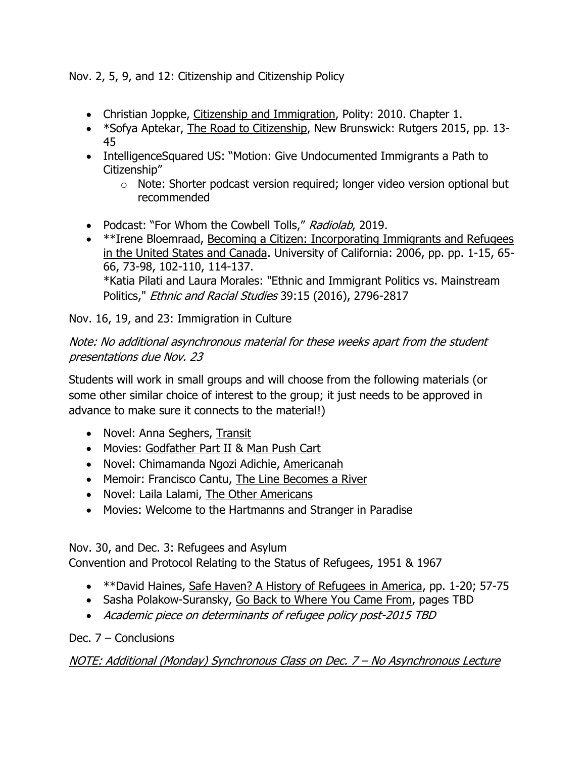Nov. 2, 5, 9, and 12: Citizenship and Citizenship Policy

- Christian Joppke, Citizenship and Immigration, Polity: 2010. Chapter 1.
- \*Sofya Aptekar, The Road to Citizenship, New Brunswick: Rutgers 2015, pp. 13- 45
- IntelligenceSquared US: "Motion: Give Undocumented Immigrants a Path to Citizenship"
	- o Note: Shorter podcast version required; longer video version optional but recommended
- Podcast: "For Whom the Cowbell Tolls," Radiolab, 2019.
- \*\*Irene Bloemraad, Becoming a Citizen: Incorporating Immigrants and Refugees in the United States and Canada. University of California: 2006, pp. pp. 1-15, 65- 66, 73-98, 102-110, 114-137. \*Katia Pilati and Laura Morales: "Ethnic and Immigrant Politics vs. Mainstream Politics," Ethnic and Racial Studies 39:15 (2016), 2796-2817

Nov. 16, 19, and 23: Immigration in Culture

## Note: No additional asynchronous material for these weeks apart from the student presentations due Nov. 23

Students will work in small groups and will choose from the following materials (or some other similar choice of interest to the group; it just needs to be approved in advance to make sure it connects to the material!)

- Novel: Anna Seghers, Transit
- Movies: Godfather Part II & Man Push Cart
- Novel: Chimamanda Ngozi Adichie, Americanah
- Memoir: Francisco Cantu, The Line Becomes a River
- Novel: Laila Lalami, The Other Americans
- Movies: Welcome to the Hartmanns and Stranger in Paradise

Nov. 30, and Dec. 3: Refugees and Asylum

Convention and Protocol Relating to the Status of Refugees, 1951 & 1967

- \*\*David Haines, Safe Haven? A History of Refugees in America, pp. 1-20; 57-75
- Sasha Polakow-Suransky, Go Back to Where You Came From, pages TBD
- Academic piece on determinants of refugee policy post-2015 TBD

#### Dec. 7 – Conclusions

#### NOTE: Additional (Monday) Synchronous Class on Dec. 7 – No Asynchronous Lecture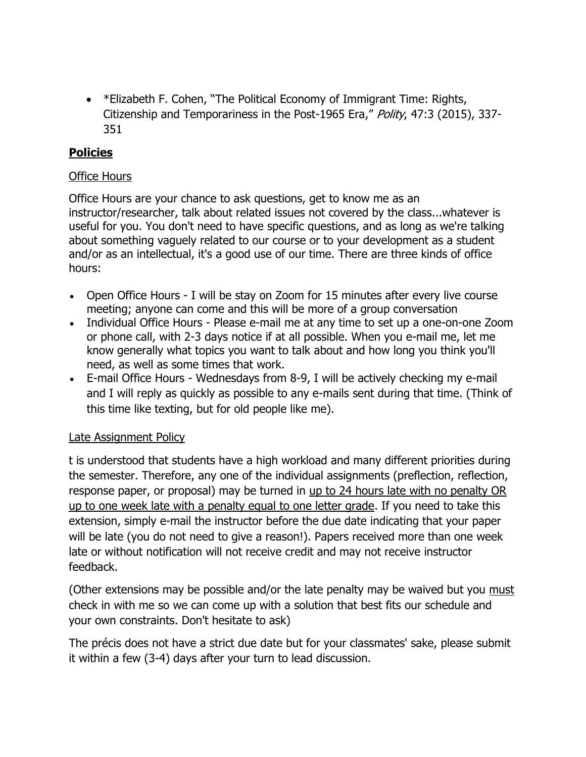• \* Elizabeth F. Cohen, "The Political Economy of Immigrant Time: Rights, Citizenship and Temporariness in the Post-1965 Era," Polity, 47:3 (2015), 337-351

#### **Policies**

#### Office Hours

Office Hours are your chance to ask questions, get to know me as an instructor/researcher, talk about related issues not covered by the class...whatever is useful for you. You don't need to have specific questions, and as long as we're talking about something vaguely related to our course or to your development as a student and/or as an intellectual, it's a good use of our time. There are three kinds of office hours:

- Open Office Hours I will be stay on Zoom for 15 minutes after every live course meeting; anyone can come and this will be more of a group conversation
- Individual Office Hours Please e-mail me at any time to set up a one-on-one Zoom or phone call, with 2-3 days notice if at all possible. When you e-mail me, let me know generally what topics you want to talk about and how long you think you'll need, as well as some times that work.
- E-mail Office Hours Wednesdays from 8-9, I will be actively checking my e-mail and I will reply as quickly as possible to any e-mails sent during that time. (Think of this time like texting, but for old people like me).

#### Late Assignment Policy

t is understood that students have a high workload and many different priorities during the semester. Therefore, any one of the individual assignments (preflection, reflection, response paper, or proposal) may be turned in up to 24 hours late with no penalty OR up to one week late with a penalty equal to one letter grade. If you need to take this extension, simply e-mail the instructor before the due date indicating that your paper will be late (you do not need to give a reason!). Papers received more than one week late or without notification will not receive credit and may not receive instructor feedback.

(Other extensions may be possible and/or the late penalty may be waived but you must check in with me so we can come up with a solution that best fits our schedule and your own constraints. Don't hesitate to ask)

The précis does not have a strict due date but for your classmates' sake, please submit it within a few (3-4) days after your turn to lead discussion.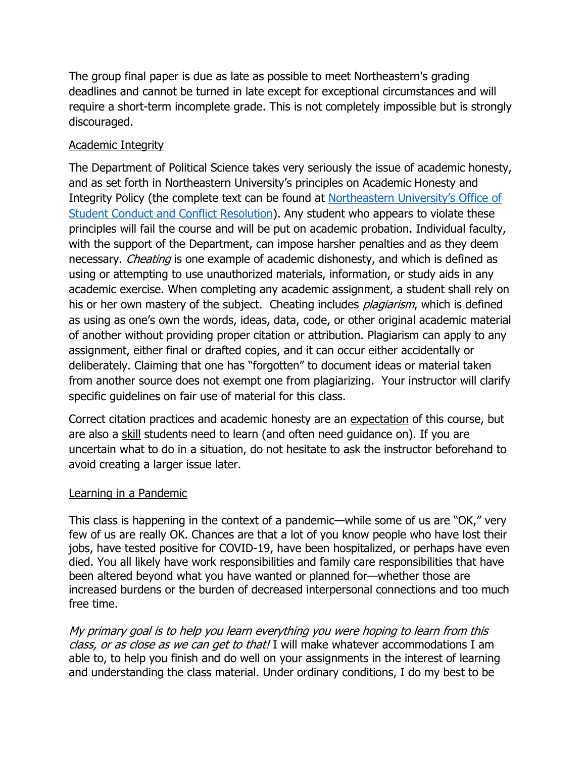The group final paper is due as late as possible to meet Northeastern's grading deadlines and cannot be turned in late except for exceptional circumstances and will require a short-term incomplete grade. This is not completely impossible but is strongly discouraged.

#### Academic Integrity

The Department of Political Science takes very seriously the issue of academic honesty, and as set forth in Northeastern University's principles on Academic Honesty and Integrity Policy (the complete text can be found at [Northeastern University's Office of](http://www.northeastern.edu/osccr/academic-integrity-policy/)  [Student Conduct and Conflict Resolution\)](http://www.northeastern.edu/osccr/academic-integrity-policy/). Any student who appears to violate these principles will fail the course and will be put on academic probation. Individual faculty, with the support of the Department, can impose harsher penalties and as they deem necessary. *Cheating* is one example of academic dishonesty, and which is defined as using or attempting to use unauthorized materials, information, or study aids in any academic exercise. When completing any academic assignment, a student shall rely on his or her own mastery of the subject. Cheating includes *plagiarism*, which is defined as using as one's own the words, ideas, data, code, or other original academic material of another without providing proper citation or attribution. Plagiarism can apply to any assignment, either final or drafted copies, and it can occur either accidentally or deliberately. Claiming that one has "forgotten" to document ideas or material taken from another source does not exempt one from plagiarizing. Your instructor will clarify specific guidelines on fair use of material for this class.

Correct citation practices and academic honesty are an expectation of this course, but are also a skill students need to learn (and often need guidance on). If you are uncertain what to do in a situation, do not hesitate to ask the instructor beforehand to avoid creating a larger issue later.

#### Learning in a Pandemic

This class is happening in the context of a pandemic—while some of us are "OK," very few of us are really OK. Chances are that a lot of you know people who have lost their jobs, have tested positive for COVID-19, have been hospitalized, or perhaps have even died. You all likely have work responsibilities and family care responsibilities that have been altered beyond what you have wanted or planned for—whether those are increased burdens or the burden of decreased interpersonal connections and too much free time.

My primary goal is to help you learn everything you were hoping to learn from this class, or as close as we can get to that! I will make whatever accommodations I am able to, to help you finish and do well on your assignments in the interest of learning and understanding the class material. Under ordinary conditions, I do my best to be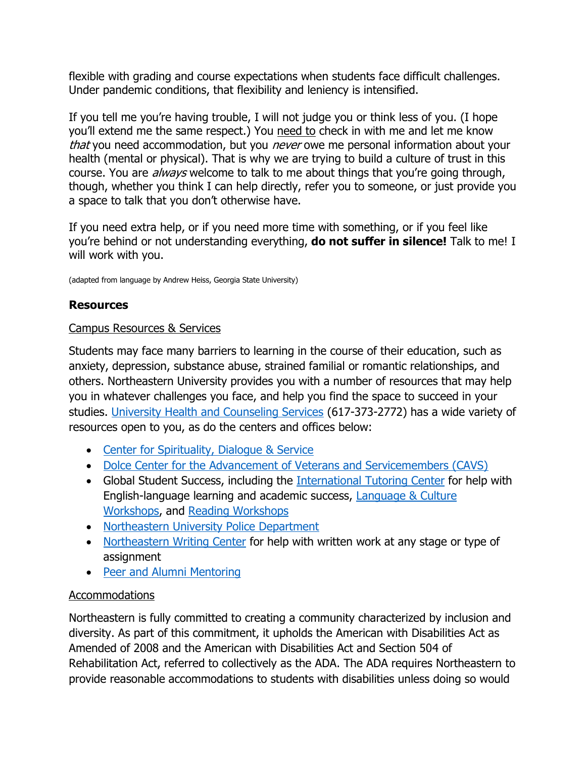flexible with grading and course expectations when students face difficult challenges. Under pandemic conditions, that flexibility and leniency is intensified.

If you tell me you're having trouble, I will not judge you or think less of you. (I hope you'll extend me the same respect.) You need to check in with me and let me know that you need accommodation, but you *never* owe me personal information about your health (mental or physical). That is why we are trying to build a culture of trust in this course. You are *always* welcome to talk to me about things that you're going through, though, whether you think I can help directly, refer you to someone, or just provide you a space to talk that you don't otherwise have.

If you need extra help, or if you need more time with something, or if you feel like you're behind or not understanding everything, **do not suffer in silence!** Talk to me! I will work with you.

(adapted from language by Andrew Heiss, Georgia State University)

## **Resources**

#### Campus Resources & Services

Students may face many barriers to learning in the course of their education, such as anxiety, depression, substance abuse, strained familial or romantic relationships, and others. Northeastern University provides you with a number of resources that may help you in whatever challenges you face, and help you find the space to succeed in your studies. [University Health and Counseling Services](https://www.northeastern.edu/uhcs/) (617-373-2772) has a wide variety of resources open to you, as do the centers and offices below:

- [Center for Spirituality, Dialogue & Service](http://www.northeastern.edu/spirituallife/)
- [Dolce Center for the Advancement of Veterans and Servicemembers \(CAVS\)](https://www.northeastern.edu/military/student-resources/cavs/)
- Global Student Success, including the International [Tutoring Center](https://cps.northeastern.edu/academic-resources/global-student-success/international-tutoring) for help with English-language learning and academic success, [Language & Culture](https://cps.northeastern.edu/academic-resources/global-student-success/international-tutoring/language-culture)  [Workshops,](https://cps.northeastern.edu/academic-resources/global-student-success/international-tutoring/language-culture) and [Reading Workshops](https://cps.northeastern.edu/academic-resources/global-student-success/international-tutoring/reading)
- [Northeastern University Police Department](https://www.northeastern.edu/nupd/)
- [Northeastern Writing Center](https://www.northeastern.edu/writingcenter/) for help with written work at any stage or type of assignment
- [Peer and Alumni Mentoring](https://cps.northeastern.edu/academic-resources/peer-mentoring)

#### Accommodations

Northeastern is fully committed to creating a community characterized by inclusion and diversity. As part of this commitment, it upholds the American with Disabilities Act as Amended of 2008 and the American with Disabilities Act and Section 504 of Rehabilitation Act, referred to collectively as the ADA. The ADA requires Northeastern to provide reasonable accommodations to students with disabilities unless doing so would